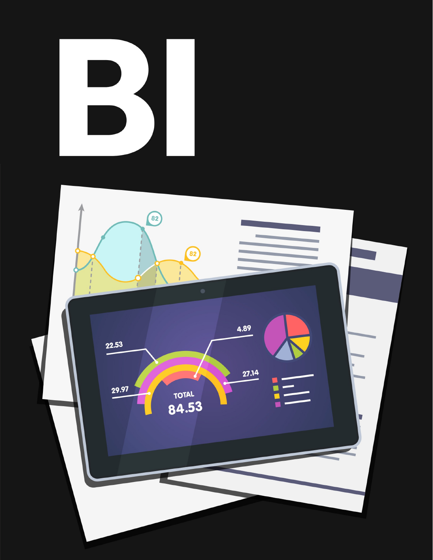

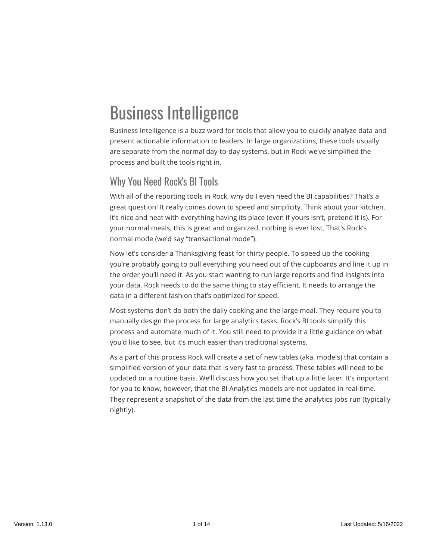## Business Intelligence

Business Intelligence is a buzz word for tools that allow you to quickly analyze data and present actionable information to leaders. In large organizations, these tools usually are separate from the normal day-to-day systems, but in Rock we've simplified the process and built the tools right in.

### Why You Need Rock's BI Tools

With all of the reporting tools in Rock, why do I even need the BI capabilities? That's a great question! It really comes down to speed and simplicity. Think about your kitchen. It's nice and neat with everything having its place (even if yours isn't, pretend it is). For your normal meals, this is great and organized, nothing is ever lost. That's Rock's normal mode (we'd say "transactional mode").

Now let's consider a Thanksgiving feast for thirty people. To speed up the cooking you're probably going to pull everything you need out of the cupboards and line it up in the order you'll need it. As you start wanting to run large reports and find insights into your data, Rock needs to do the same thing to stay efficient. It needs to arrange the data in a different fashion that's optimized for speed.

Most systems don't do both the daily cooking and the large meal. They require you to manually design the process for large analytics tasks. Rock's BI tools simplify this process and automate much of it. You still need to provide it a little guidance on what you'd like to see, but it's much easier than traditional systems.

As a part of this process Rock will create a set of new tables (aka, models) that contain a simplified version of your data that is very fast to process. These tables will need to be updated on a routine basis. We'll discuss how you set that up a little later. It's important for you to know, however, that the BI Analytics models are not updated in real-time. They represent a snapshot of the data from the last time the analytics jobs run (typically nightly).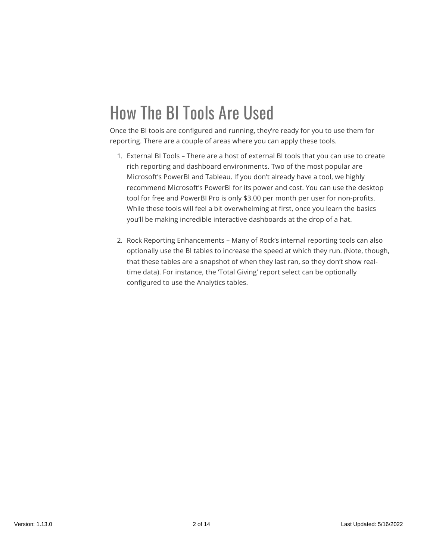### How The BI Tools Are Used

Once the BI tools are configured and running, they're ready for you to use them for reporting. There are a couple of areas where you can apply these tools.

- 1. External BI Tools There are a host of external BI tools that you can use to create rich reporting and dashboard environments. Two of the most popular are Microsoft's PowerBI and Tableau. If you don't already have a tool, we highly recommend Microsoft's PowerBI for its power and cost. You can use the desktop tool for free and PowerBI Pro is only \$3.00 per month per user for non-profits. While these tools will feel a bit overwhelming at first, once you learn the basics you'll be making incredible interactive dashboards at the drop of a hat.
- 2. Rock Reporting Enhancements Many of Rock's internal reporting tools can also optionally use the BI tables to increase the speed at which they run. (Note, though, that these tables are a snapshot of when they last ran, so they don't show realtime data). For instance, the 'Total Giving' report select can be optionally configured to use the Analytics tables.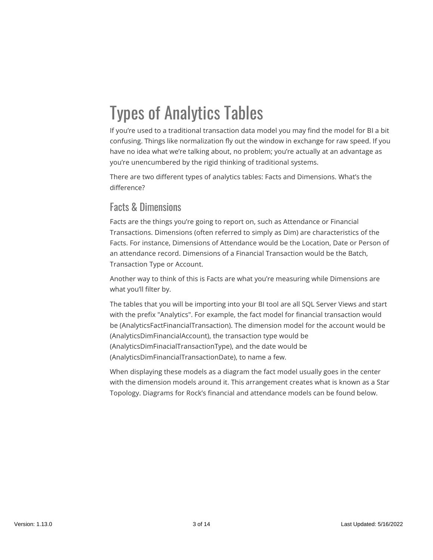## Types of Analytics Tables

If you're used to a traditional transaction data model you may find the model for BI a bit confusing. Things like normalization fly out the window in exchange for raw speed. If you have no idea what we're talking about, no problem; you're actually at an advantage as you're unencumbered by the rigid thinking of traditional systems.

There are two different types of analytics tables: Facts and Dimensions. What's the difference?

#### Facts & Dimensions

Facts are the things you're going to report on, such as Attendance or Financial Transactions. Dimensions (often referred to simply as Dim) are characteristics of the Facts. For instance, Dimensions of Attendance would be the Location, Date or Person of an attendance record. Dimensions of a Financial Transaction would be the Batch, Transaction Type or Account.

Another way to think of this is Facts are what you're measuring while Dimensions are what you'll filter by.

The tables that you will be importing into your BI tool are all SQL Server Views and start with the prefix "Analytics". For example, the fact model for financial transaction would be (AnalyticsFactFinancialTransaction). The dimension model for the account would be (AnalyticsDimFinancialAccount), the transaction type would be (AnalyticsDimFinacialTransactionType), and the date would be (AnalyticsDimFinancialTransactionDate), to name a few.

When displaying these models as a diagram the fact model usually goes in the center with the dimension models around it. This arrangement creates what is known as a Star Topology. Diagrams for Rock's financial and attendance models can be found below.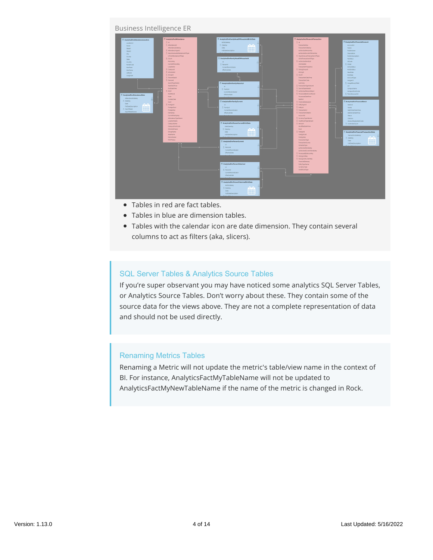#### Business Intelligence ER

| BUSINESS INTERFENCE ER                                                                                                                                                                                                                                                                          |                                                                                                                                                                                                                                                              |                                                                                                                                                                                                                                                                                                               |                                                                                                                                                                                                                                                                                                                                                                                                                                |                                                                                                                                                                                                                                                                                                                        |  |
|-------------------------------------------------------------------------------------------------------------------------------------------------------------------------------------------------------------------------------------------------------------------------------------------------|--------------------------------------------------------------------------------------------------------------------------------------------------------------------------------------------------------------------------------------------------------------|---------------------------------------------------------------------------------------------------------------------------------------------------------------------------------------------------------------------------------------------------------------------------------------------------------------|--------------------------------------------------------------------------------------------------------------------------------------------------------------------------------------------------------------------------------------------------------------------------------------------------------------------------------------------------------------------------------------------------------------------------------|------------------------------------------------------------------------------------------------------------------------------------------------------------------------------------------------------------------------------------------------------------------------------------------------------------------------|--|
| AnalyticsDimAttendanceLocation<br>$\Sigma$ id<br>Locationid<br>Name<br>Street1<br>Street2<br>Otr<br>County<br>$\Sigma$ Count<br>state.<br>Country<br>PostalCode<br>GeoPoint<br><b>X</b> Campushi<br>GeoFence<br>$\Sigma$ Scheduleid<br>Lititude<br>$\Sigma$ Groupid<br>Longitude<br>X. Deviceld | <b>El AnalyticafactAttendance</b><br><b>X</b> Attendanceld<br>AttendanceDateKey<br>Σ AttendanceTypeid<br>X DaviSinosLasAttendanceOffroe<br>IsFintAttendanceOfType<br>PersonKey<br>CurrentPersonKey<br>Locationid<br>$\Sigma$ PersonAliasid<br>SearchTypeName | AnalyticsDimFamilyHeadOfHouseholdBirthDate<br><b>SithDateKey</b><br>$\Sigma$ DateKey<br>$n - n$<br>Date<br><b>HHH</b><br><br>FullDateDescription<br><br>AnalyticsDimFamilyHeadOfHousehold<br>id.<br>$\Sigma$ Personid<br>Current/current cater<br><i><b>EffectiveDate</b></i><br>AnalyticsDimFamilyHistorical | Analytical actlinancial Transaction<br>$\Sigma$ id<br>TransactionKey<br>TransactionDateKey<br>AuthorizedPersonKey<br>AuthorizedCumentPersonKey<br>E DaysSinceLastTransactionOfType<br>IsFirstTransactionOfType<br>∑ AuthorizedFamilyid<br>IsScheduled<br>Transaction Frequency<br>$\Sigma$ GivingGroupld<br>Givingid<br>$\Sigma$ Court<br>TransactionDateTime<br>TramactionCode<br>Summary.                                    | AnalyticsDimFinancialAccount<br>Account of<br>Name<br><b>PublicName</b><br>Description<br><b>PublicDescription</b><br><b>TaxStatus</b><br>dicode<br>$\Sigma$ Order<br>ActiveStatus<br><b><i><u>RibleStatus</u></i></b><br><b>StartDate</b><br><b>EndDate</b><br>AccountType<br>Insgel.if<br>$\Sigma$ imposition filest |  |
| $\Sigma$ RSVP.<br>AnalyticsDimAttendanceDate<br>Note<br>AttendanceDateKey<br>$\Sigma$ Didelow<br>Guid<br>Date:<br>$\Sigma$ Foreignid<br>FullDateDescription<br>日田田田<br>HF<br>$\Sigma$ DayOfWeek<br><b>DayOfWeithlame</b>                                                                        | StartDateTime<br>EndDateTime<br>DidAttend<br>SundayDate<br>ForeignQuid<br>ForeignKey<br>FamilyKey<br>CurrentfamilySev<br>Attendance7/peName<br>LocationName<br>CampusName<br>CampusShortCode<br>Schedulehlanne<br>GroupName                                  | M<br>$\Sigma$ Family 15<br>Current/towindicator<br><b>EffectiveDate</b><br>AnalyticsDimfamilyCurrent<br>M<br>5. Foreburg<br>Currenthowndicator<br><b>EffectiveOate</b><br>AnalyticsDimPersonCurrentBirthDate<br>BirthDateKey<br>$\Sigma$ DateKey<br>计数字符<br>Date:<br>man                                      | E TransactionTypeValueId<br>Σ SourceTypeValueId<br>X. AuthorizedPersonAliastd<br>X. Processed ByPersonAlissid<br>ProcessedDateTime<br>Batchid<br>$\Sigma$ FinancialSateway(d)<br>$\Sigma$ Entity Typatd<br>$\Sigma$ Entity(d)<br>$\Sigma$ Transactionid<br>$\Sigma$ TransactionDetaillid<br>Accounts<br>E CurrencyTypeValueId<br>E CreditCardTypeWalueld<br>$\Sigma$ Amount<br>ModifiedDateTime<br>Cuid.<br>$\Sigma$ Foreignid | <b>CHI</b><br>Campushiane<br>CampusShortCode<br>$\Sigma$ ParentAccountid<br>AnalyticaDimFinancialBatch<br>Ratchid<br>Name<br><b>BatchStartDateTime</b><br>BatchEnclOateTime<br>Status.<br>Campus:<br>AccountingSystemCode<br>$\Sigma$ ControlAmount<br>AnalyticsDimFinancialTransactionDate                            |  |
|                                                                                                                                                                                                                                                                                                 | AreaNance<br>DeviceName<br><b>RSVPSIANS</b>                                                                                                                                                                                                                  | FullDateDescription<br>┅<br>AnalyticsDimPersonCurrent<br>id.<br>$\Sigma$ Personal<br>CurrentRowindicator<br><b>SffectiveDate</b><br>AnalyticsDimPersonHistorical<br>M<br>$\Sigma$ Person(d)<br>CurrentRovincicator<br>EffectiveDate                                                                           | ForeignGuid<br>ForeignKey<br><b>TransactionType</b><br>TramactionSource<br>ScheduleType<br>AuthorizedFamilyKey<br>AuthorizedCurrentFamilyKey<br>E. Processed byPersonKey<br>$\Sigma$ Giving Unit Key<br>$\Sigma$ Giving Unit Currenticey<br>FinancialGateway<br>Entity/TypeName<br>CurrencyType<br>CreditCardType                                                                                                              | TransactionDateKey<br>$\Sigma$ DateKey<br>9995<br>Date:<br><b>BBBB</b><br><b>FullDateDescription</b><br>----                                                                                                                                                                                                           |  |
|                                                                                                                                                                                                                                                                                                 |                                                                                                                                                                                                                                                              | AnalyticsDimPersonHistoricalBirthDate<br>BirthDateKey<br>$\Sigma$ DateKey<br>日田田田<br><b>Oate</b><br>自由自由<br>FullDateDescription<br>man                                                                                                                                                                        |                                                                                                                                                                                                                                                                                                                                                                                                                                |                                                                                                                                                                                                                                                                                                                        |  |

- Tables in red are fact tables.
- Tables in blue are dimension tables.
- Tables with the calendar icon are date dimension. They contain several columns to act as filters (aka, slicers).

#### SQL Server Tables & Analytics Source Tables

If you're super observant you may have noticed some analytics SQL Server Tables, or Analytics Source Tables. Don't worry about these. They contain some of the source data for the views above. They are not a complete representation of data and should not be used directly.

#### Renaming Metrics Tables

Renaming a Metric will not update the metric's table/view name in the context of BI. For instance, AnalyticsFactMyTableName will not be updated to AnalyticsFactMyNewTableName if the name of the metric is changed in Rock.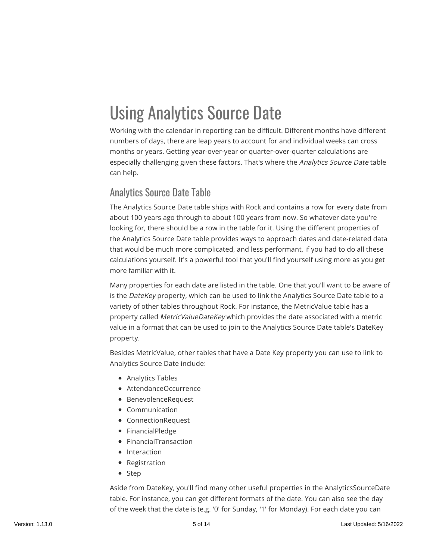# Using Analytics Source Date

Working with the calendar in reporting can be difficult. Different months have different numbers of days, there are leap years to account for and individual weeks can cross months or years. Getting year-over-year or quarter-over-quarter calculations are especially challenging given these factors. That's where the Analytics Source Date table can help.

#### Analytics Source Date Table

The Analytics Source Date table ships with Rock and contains a row for every date from about 100 years ago through to about 100 years from now. So whatever date you're looking for, there should be a row in the table for it. Using the different properties of the Analytics Source Date table provides ways to approach dates and date-related data that would be much more complicated, and less performant, if you had to do all these calculations yourself. It's a powerful tool that you'll find yourself using more as you get more familiar with it.

Many properties for each date are listed in the table. One that you'll want to be aware of is the DateKey property, which can be used to link the Analytics Source Date table to a variety of other tables throughout Rock. For instance, the MetricValue table has a property called MetricValueDateKey which provides the date associated with a metric value in a format that can be used to join to the Analytics Source Date table's DateKey property.

Besides MetricValue, other tables that have a Date Key property you can use to link to Analytics Source Date include:

- Analytics Tables
- AttendanceOccurrence
- BenevolenceRequest
- Communication
- ConnectionRequest
- FinancialPledge
- FinancialTransaction
- Interaction
- Registration
- Step

Aside from DateKey, you'll find many other useful properties in the AnalyticsSourceDate table. For instance, you can get different formats of the date. You can also see the day of the week that the date is (e.g. '0' for Sunday, '1' for Monday). For each date you can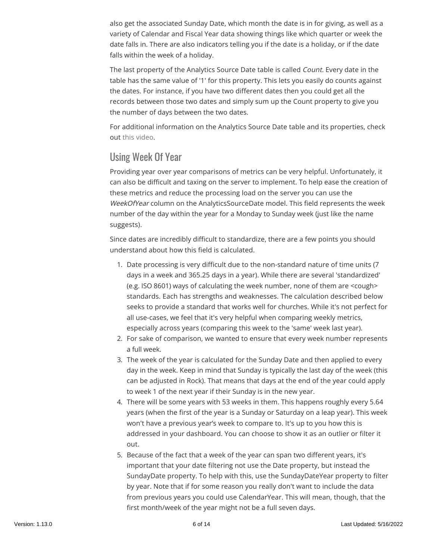also get the associated Sunday Date, which month the date is in for giving, as well as a variety of Calendar and Fiscal Year data showing things like which quarter or week the date falls in. There are also indicators telling you if the date is a holiday, or if the date falls within the week of a holiday.

The last property of the Analytics Source Date table is called Count. Every date in the table has the same value of '1' for this property. This lets you easily do counts against the dates. For instance, if you have two different dates then you could get all the records between those two dates and simply sum up the Count property to give you the number of days between the two dates.

For additional information on the Analytics Source Date table and its properties, check out [this video.](https://www.triumph.tech/videos/date-keys)

#### Using Week Of Year

Providing year over year comparisons of metrics can be very helpful. Unfortunately, it can also be difficult and taxing on the server to implement. To help ease the creation of these metrics and reduce the processing load on the server you can use the WeekOfYear column on the AnalyticsSourceDate model. This field represents the week number of the day within the year for a Monday to Sunday week (just like the name suggests).

Since dates are incredibly difficult to standardize, there are a few points you should understand about how this field is calculated.

- 1. Date processing is very difficult due to the non-standard nature of time units (7 days in a week and 365.25 days in a year). While there are several 'standardized' (e.g. ISO 8601) ways of calculating the week number, none of them are <cough> standards. Each has strengths and weaknesses. The calculation described below seeks to provide a standard that works well for churches. While it's not perfect for all use-cases, we feel that it's very helpful when comparing weekly metrics, especially across years (comparing this week to the 'same' week last year).
- 2. For sake of comparison, we wanted to ensure that every week number represents a full week.
- 3. The week of the year is calculated for the Sunday Date and then applied to every day in the week. Keep in mind that Sunday is typically the last day of the week (this can be adjusted in Rock). That means that days at the end of the year could apply to week 1 of the next year if their Sunday is in the new year.
- 4. There will be some years with 53 weeks in them. This happens roughly every 5.64 years (when the first of the year is a Sunday or Saturday on a leap year). This week won't have a previous year's week to compare to. It's up to you how this is addressed in your dashboard. You can choose to show it as an outlier or filter it out.
- 5. Because of the fact that a week of the year can span two different years, it's important that your date filtering not use the Date property, but instead the SundayDate property. To help with this, use the SundayDateYear property to filter by year. Note that if for some reason you really don't want to include the data from previous years you could use CalendarYear. This will mean, though, that the first month/week of the year might not be a full seven days.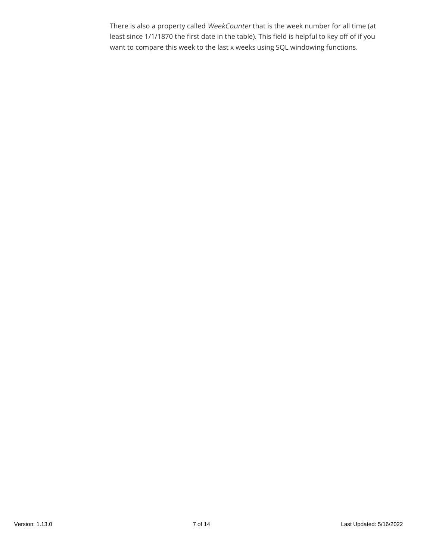There is also a property called WeekCounter that is the week number for all time (at least since 1/1/1870 the first date in the table). This field is helpful to key off of if you want to compare this week to the last x weeks using SQL windowing functions.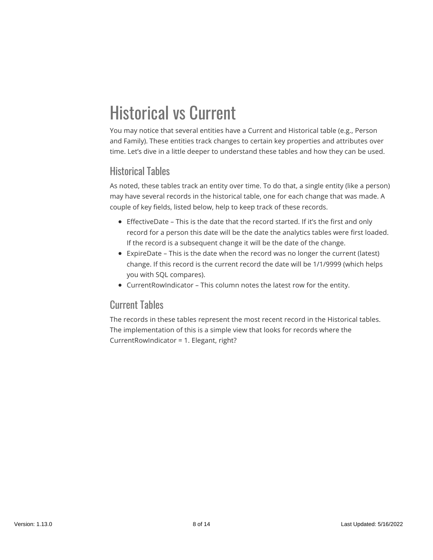## Historical vs Current

You may notice that several entities have a Current and Historical table (e.g., Person and Family). These entities track changes to certain key properties and attributes over time. Let's dive in a little deeper to understand these tables and how they can be used.

#### Historical Tables

As noted, these tables track an entity over time. To do that, a single entity (like a person) may have several records in the historical table, one for each change that was made. A couple of key fields, listed below, help to keep track of these records.

- EffectiveDate This is the date that the record started. If it's the first and only record for a person this date will be the date the analytics tables were first loaded. If the record is a subsequent change it will be the date of the change.
- ExpireDate This is the date when the record was no longer the current (latest) change. If this record is the current record the date will be 1/1/9999 (which helps you with SQL compares).
- CurrentRowIndicator This column notes the latest row for the entity.

#### Current Tables

The records in these tables represent the most recent record in the Historical tables. The implementation of this is a simple view that looks for records where the CurrentRowIndicator = 1. Elegant, right?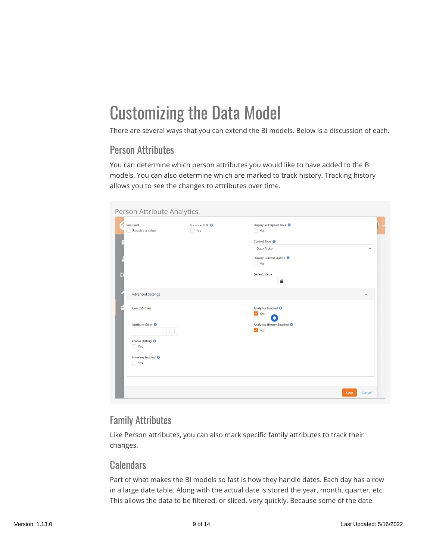### Customizing the Data Model

There are several ways that you can extend the BI models. Below is a discussion of each.

### Person Attributes

You can determine which person attributes you would like to have added to the BI models. You can also determine which are marked to track history. Tracking history allows you to see the changes to attributes over time.

| Required<br>Require a value                 | Show on Bulk <sup>O</sup><br>$\Box$ Yes | Display as Elapsed Time <sup>O</sup><br>$\Box$ Yes                                                                  |             |
|---------------------------------------------|-----------------------------------------|---------------------------------------------------------------------------------------------------------------------|-------------|
|                                             |                                         | Control Type <sup>O</sup><br>Date Picker<br>Display Current Option <sup>0</sup><br>$\Box$ Yes<br>Default Value<br>ä | $\check{~}$ |
| <b>Advanced Settings</b><br>Icon CSS Class  |                                         | Analytics Enabled <sup>O</sup>                                                                                      | $\hat{}$    |
| Attribute Color <sup>6</sup>                |                                         | Yes<br>$\star$<br>Analytics History Enabled <sup>O</sup><br>ves                                                     |             |
| Enable History <sup>O</sup><br>$\Box$ Yes   |                                         |                                                                                                                     |             |
| Indexing Enabled <sup>O</sup><br>$\Box$ Yes |                                         |                                                                                                                     |             |
|                                             |                                         |                                                                                                                     |             |

### Family Attributes

Like Person attributes, you can also mark specific family attributes to track their changes.

#### **Calendars**

Part of what makes the BI models so fast is how they handle dates. Each day has a row in a large date table. Along with the actual date is stored the year, month, quarter, etc. This allows the data to be filtered, or sliced, very quickly. Because some of the date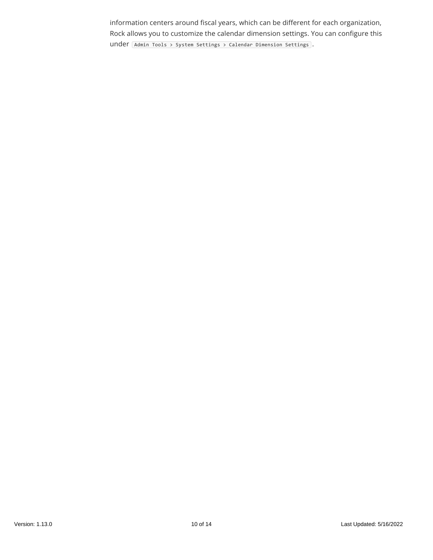information centers around fiscal years, which can be different for each organization, Rock allows you to customize the calendar dimension settings. You can configure this under [Admin Tools > System Settings > Calendar Dimension Settings].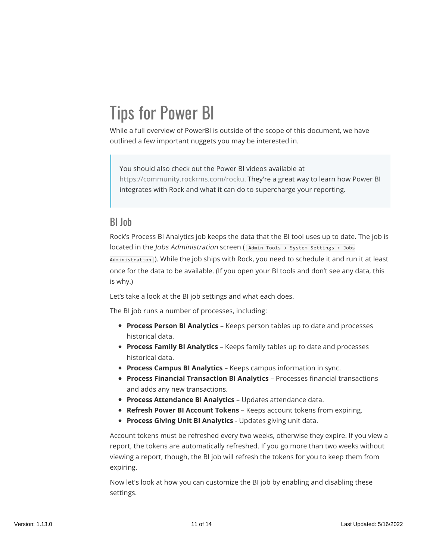# Tips for Power BI

While a full overview of PowerBI is outside of the scope of this document, we have outlined a few important nuggets you may be interested in.

You should also check out the Power BI videos available at [https://community.rockrms.com/rocku](https://community.rockrms.com/rocku#businessintelligence(bi)). They're a great way to learn how Power BI integrates with Rock and what it can do to supercharge your reporting.

#### BI Job

Rock's Process BI Analytics job keeps the data that the BI tool uses up to date. The job is located in the *Jobs Administration* screen ( Admin Tools > System Settings > Jobs Administration ). While the job ships with Rock, you need to schedule it and run it at least once for the data to be available. (If you open your BI tools and don't see any data, this is why.)

Let's take a look at the BI job settings and what each does.

The BI job runs a number of processes, including:

- **Process Person BI Analytics** Keeps person tables up to date and processes historical data.
- **Process Family BI Analytics** Keeps family tables up to date and processes historical data.
- **Process Campus BI Analytics** Keeps campus information in sync.
- **Process Financial Transaction BI Analytics** Processes financial transactions and adds any new transactions.
- **Process Attendance BI Analytics** Updates attendance data.
- **Refresh Power BI Account Tokens** Keeps account tokens from expiring.
- **Process Giving Unit BI Analytics** Updates giving unit data.

Account tokens must be refreshed every two weeks, otherwise they expire. If you view a report, the tokens are automatically refreshed. If you go more than two weeks without viewing a report, though, the BI job will refresh the tokens for you to keep them from expiring.

Now let's look at how you can customize the BI job by enabling and disabling these settings.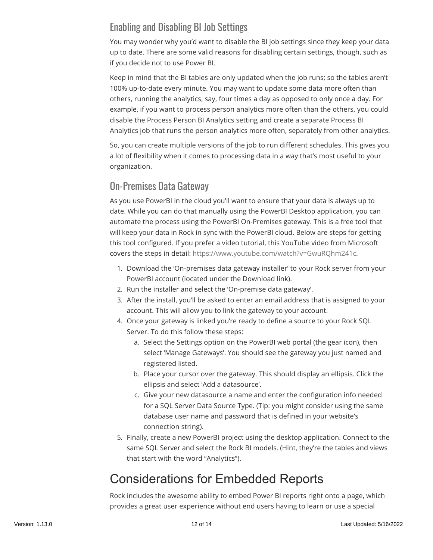### Enabling and Disabling BI Job Settings

You may wonder why you'd want to disable the BI job settings since they keep your data up to date. There are some valid reasons for disabling certain settings, though, such as if you decide not to use Power BI.

Keep in mind that the BI tables are only updated when the job runs; so the tables aren't 100% up-to-date every minute. You may want to update some data more often than others, running the analytics, say, four times a day as opposed to only once a day. For example, if you want to process person analytics more often than the others, you could disable the Process Person BI Analytics setting and create a separate Process BI Analytics job that runs the person analytics more often, separately from other analytics.

So, you can create multiple versions of the job to run different schedules. This gives you a lot of flexibility when it comes to processing data in a way that's most useful to your organization.

#### On-Premises Data Gateway

As you use PowerBI in the cloud you'll want to ensure that your data is always up to date. While you can do that manually using the PowerBI Desktop application, you can automate the process using the PowerBI On-Premises gateway. This is a free tool that will keep your data in Rock in sync with the PowerBI cloud. Below are steps for getting this tool configured. If you prefer a video tutorial, this YouTube video from Microsoft covers the steps in detail: [https://www.youtube.com/watch?v=GwuRQhm241c.](https://www.youtube.com/watch?v=GwuRQhm241c)

- 1. Download the 'On-premises data gateway installer' to your Rock server from your PowerBI account (located under the Download link).
- 2. Run the installer and select the 'On-premise data gateway'.
- 3. After the install, you'll be asked to enter an email address that is assigned to your account. This will allow you to link the gateway to your account.
- 4. Once your gateway is linked you're ready to define a source to your Rock SQL Server. To do this follow these steps:
	- a. Select the Settings option on the PowerBI web portal (the gear icon), then select 'Manage Gateways'. You should see the gateway you just named and registered listed.
	- b. Place your cursor over the gateway. This should display an ellipsis. Click the ellipsis and select 'Add a datasource'.
	- c. Give your new datasource a name and enter the configuration info needed for a SQL Server Data Source Type. (Tip: you might consider using the same database user name and password that is defined in your website's connection string).
- 5. Finally, create a new PowerBI project using the desktop application. Connect to the same SQL Server and select the Rock BI models. (Hint, they're the tables and views that start with the word "Analytics").

### Considerations for Embedded Reports

Rock includes the awesome ability to embed Power BI reports right onto a page, which provides a great user experience without end users having to learn or use a special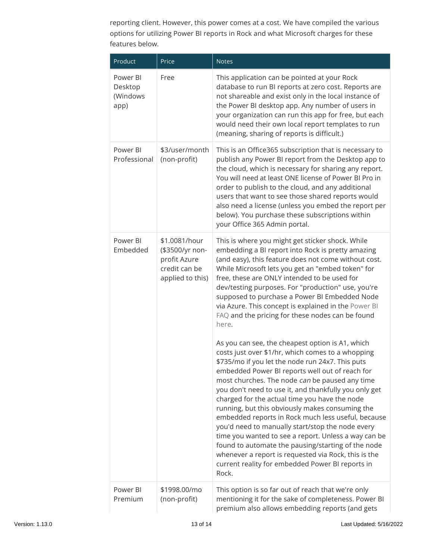reporting client. However, this power comes at a cost. We have compiled the various options for utilizing Power BI reports in Rock and what Microsoft charges for these features below.

| Product                                 | Price                                                                                 | <b>Notes</b>                                                                                                                                                                                                                                                                                                                                                                                                                                                                                                                                                                                                                                                                                                                                                             |
|-----------------------------------------|---------------------------------------------------------------------------------------|--------------------------------------------------------------------------------------------------------------------------------------------------------------------------------------------------------------------------------------------------------------------------------------------------------------------------------------------------------------------------------------------------------------------------------------------------------------------------------------------------------------------------------------------------------------------------------------------------------------------------------------------------------------------------------------------------------------------------------------------------------------------------|
| Power BI<br>Desktop<br>(Windows<br>app) | Free                                                                                  | This application can be pointed at your Rock<br>database to run BI reports at zero cost. Reports are<br>not shareable and exist only in the local instance of<br>the Power BI desktop app. Any number of users in<br>your organization can run this app for free, but each<br>would need their own local report templates to run<br>(meaning, sharing of reports is difficult.)                                                                                                                                                                                                                                                                                                                                                                                          |
| Power BI<br>Professional                | \$3/user/month<br>(non-profit)                                                        | This is an Office365 subscription that is necessary to<br>publish any Power BI report from the Desktop app to<br>the cloud, which is necessary for sharing any report.<br>You will need at least ONE license of Power BI Pro in<br>order to publish to the cloud, and any additional<br>users that want to see those shared reports would<br>also need a license (unless you embed the report per<br>below). You purchase these subscriptions within<br>your Office 365 Admin portal.                                                                                                                                                                                                                                                                                    |
| Power BI<br>Embedded                    | \$1.0081/hour<br>(\$3500/yr non-<br>profit Azure<br>credit can be<br>applied to this) | This is where you might get sticker shock. While<br>embedding a BI report into Rock is pretty amazing<br>(and easy), this feature does not come without cost.<br>While Microsoft lets you get an "embed token" for<br>free, these are ONLY intended to be used for<br>dev/testing purposes. For "production" use, you're<br>supposed to purchase a Power BI Embedded Node<br>via Azure. This concept is explained in the Power BI<br>FAQ and the pricing for these nodes can be found<br>here.                                                                                                                                                                                                                                                                           |
|                                         |                                                                                       | As you can see, the cheapest option is A1, which<br>costs just over \$1/hr, which comes to a whopping<br>\$735/mo if you let the node run 24x7. This puts<br>embedded Power BI reports well out of reach for<br>most churches. The node can be paused any time<br>you don't need to use it, and thankfully you only get<br>charged for the actual time you have the node<br>running, but this obviously makes consuming the<br>embedded reports in Rock much less useful, because<br>you'd need to manually start/stop the node every<br>time you wanted to see a report. Unless a way can be<br>found to automate the pausing/starting of the node<br>whenever a report is requested via Rock, this is the<br>current reality for embedded Power BI reports in<br>Rock. |
| Power BI<br>Premium                     | \$1998.00/mo<br>(non-profit)                                                          | This option is so far out of reach that we're only<br>mentioning it for the sake of completeness. Power BI<br>premium also allows embedding reports (and gets                                                                                                                                                                                                                                                                                                                                                                                                                                                                                                                                                                                                            |